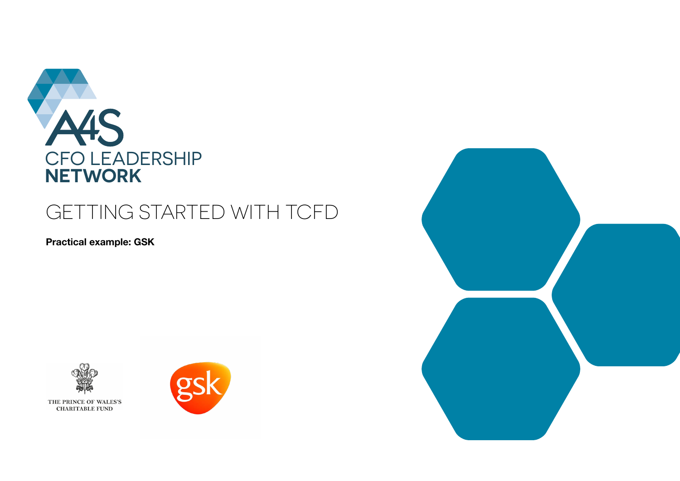

# GETTING STARTED WITH TCFD

**Practical example: GSK**





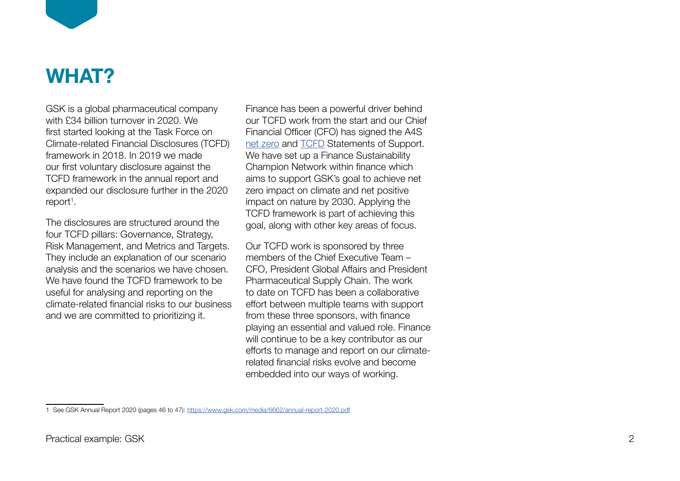

# **WHAT?**

GSK is a global pharmaceutical company with £34 billion turnover in 2020. We first started looking at the Task Force on Climate-related Financial Disclosures (TCFD) framework in 2018. In 2019 we made our first voluntary disclosure against the TCFD framework in the annual report and expanded our disclosure further in the 2020 report<sup>1</sup>.

The disclosures are structured around the four TCFD pillars: Governance, Strategy, Risk Management, and Metrics and Targets. They include an explanation of our scenario analysis and the scenarios we have chosen. We have found the TCFD framework to be useful for analysing and reporting on the climate-related financial risks to our business and we are committed to prioritizing it.

Finance has been a powerful driver behind our TCFD work from the start and our Chief Financial Officer (CFO) has signed the A4S [net zero](https://www.accountingforsustainability.org/en/activities/net-zero-activities/statement-of-support.html) and [TCFD](https://www.accountingforsustainability.org/en/activities/tcfd/statement-of-support.html) Statements of Support. We have set up a Finance Sustainability Champion Network within finance which aims to support GSK's goal to achieve net zero impact on climate and net positive impact on nature by 2030. Applying the TCFD framework is part of achieving this goal, along with other key areas of focus.

Our TCFD work is sponsored by three members of the Chief Executive Team -CFO, President Global Affairs and President Pharmaceutical Supply Chain. The work to date on TCFD has been a collaborative effort between multiple teams with support from these three sponsors, with finance playing an essential and valued role. Finance will continue to be a key contributor as our efforts to manage and report on our climaterelated financial risks evolve and become embedded into our ways of working.

<sup>1</sup> See GSK Annual Report 2020 (pages 46 to 47): <https://www.gsk.com/media/6662/annual-report-2020.pdf>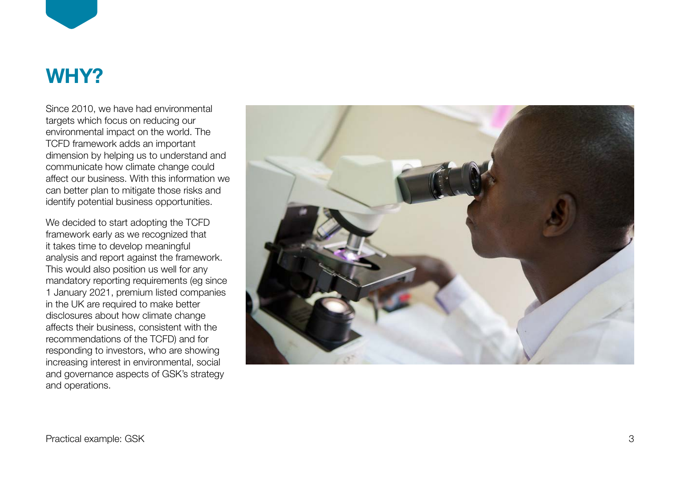

# **WHY?**

Since 2010, we have had environmental targets which focus on reducing our environmental impact on the world. The TCFD framework adds an important dimension by helping us to understand and communicate how climate change could affect our business. With this information we can better plan to mitigate those risks and identify potential business opportunities.

We decided to start adopting the TCFD framework early as we recognized that it takes time to develop meaningful analysis and report against the framework. This would also position us well for any mandatory reporting requirements (eg since 1 January 2021, premium listed companies in the UK are required to make better disclosures about how climate change affects their business, consistent with the recommendations of the TCFD) and for responding to investors, who are showing increasing interest in environmental, social and governance aspects of GSK's strategy and operations.

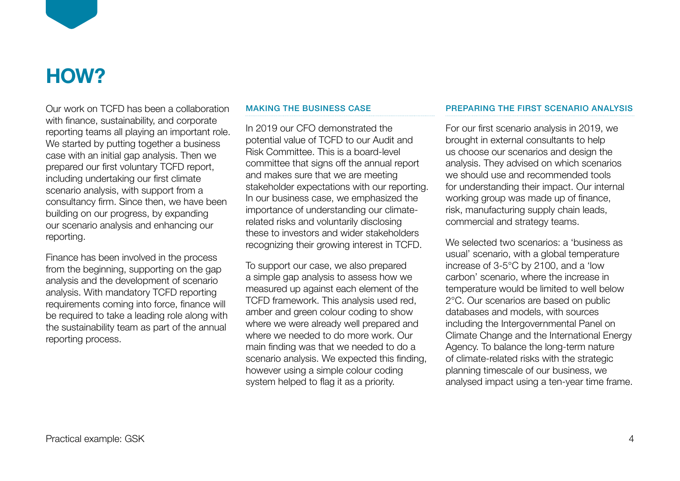

# **HOW?**

Our work on TCFD has been a collaboration with finance, sustainability, and corporate reporting teams all playing an important role. We started by putting together a business case with an initial gap analysis. Then we prepared our first voluntary TCFD report, including undertaking our first climate scenario analysis, with support from a consultancy firm. Since then, we have been building on our progress, by expanding our scenario analysis and enhancing our reporting.

Finance has been involved in the process from the beginning, supporting on the gap analysis and the development of scenario analysis. With mandatory TCFD reporting requirements coming into force, finance will be required to take a leading role along with the sustainability team as part of the annual reporting process.

## MAKING THE BUSINESS CASE

In 2019 our CFO demonstrated the potential value of TCFD to our Audit and Risk Committee. This is a board-level committee that signs off the annual report and makes sure that we are meeting stakeholder expectations with our reporting. In our business case, we emphasized the importance of understanding our climaterelated risks and voluntarily disclosing these to investors and wider stakeholders recognizing their growing interest in TCFD.

To support our case, we also prepared a simple gap analysis to assess how we measured up against each element of the TCFD framework. This analysis used red, amber and green colour coding to show where we were already well prepared and where we needed to do more work. Our main finding was that we needed to do a scenario analysis. We expected this finding, however using a simple colour coding system helped to flag it as a priority.

# PREPARING THE FIRST SCENARIO ANALYSIS

For our first scenario analysis in 2019, we brought in external consultants to help us choose our scenarios and design the analysis. They advised on which scenarios we should use and recommended tools for understanding their impact. Our internal working group was made up of finance, risk, manufacturing supply chain leads, commercial and strategy teams.

We selected two scenarios: a 'business as usual' scenario, with a global temperature increase of 3-5°C by 2100, and a 'low carbon' scenario, where the increase in temperature would be limited to well below 2°C. Our scenarios are based on public databases and models, with sources including the Intergovernmental Panel on Climate Change and the International Energy Agency. To balance the long-term nature of climate-related risks with the strategic planning timescale of our business, we analysed impact using a ten-year time frame.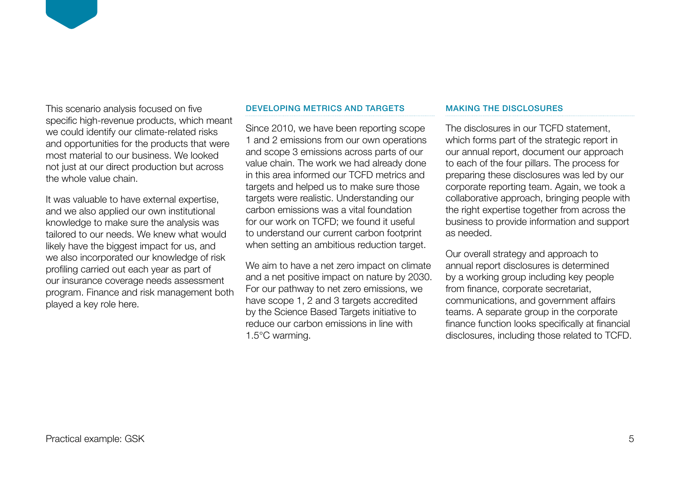This scenario analysis focused on five specific high-revenue products, which meant we could identify our climate-related risks and opportunities for the products that were most material to our business. We looked not just at our direct production but across the whole value chain.

It was valuable to have external expertise, and we also applied our own institutional knowledge to make sure the analysis was tailored to our needs. We knew what would likely have the biggest impact for us, and we also incorporated our knowledge of risk profiling carried out each year as part of our insurance coverage needs assessment program. Finance and risk management both played a key role here.

### DEVELOPING METRICS AND TARGETS

Since 2010, we have been reporting scope 1 and 2 emissions from our own operations and scope 3 emissions across parts of our value chain. The work we had already done in this area informed our TCFD metrics and targets and helped us to make sure those targets were realistic. Understanding our carbon emissions was a vital foundation for our work on TCFD; we found it useful to understand our current carbon footprint when setting an ambitious reduction target.

We aim to have a net zero impact on climate and a net positive impact on nature by 2030. For our pathway to net zero emissions, we have scope 1, 2 and 3 targets accredited by the Science Based Targets initiative to reduce our carbon emissions in line with 1.5°C warming.

### MAKING THE DISCLOSURES

The disclosures in our TCFD statement, which forms part of the strategic report in our annual report, document our approach to each of the four pillars. The process for preparing these disclosures was led by our corporate reporting team. Again, we took a collaborative approach, bringing people with the right expertise together from across the business to provide information and support as needed.

Our overall strategy and approach to annual report disclosures is determined by a working group including key people from finance, corporate secretariat, communications, and government affairs teams. A separate group in the corporate finance function looks specifically at financial disclosures, including those related to TCFD.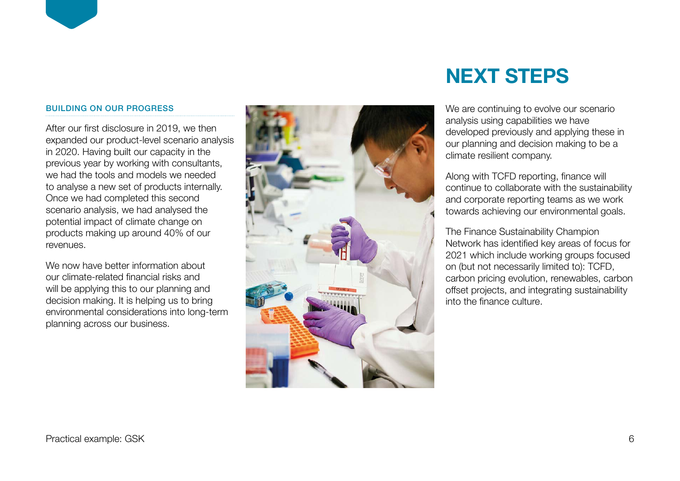# BUILDING ON OUR PROGRESS

After our first disclosure in 2019, we then expanded our product-level scenario analysis in 2020. Having built our capacity in the previous year by working with consultants, we had the tools and models we needed to analyse a new set of products internally. Once we had completed this second scenario analysis, we had analysed the potential impact of climate change on products making up around 40% of our revenues.

We now have better information about our climate-related financial risks and will be applying this to our planning and decision making. It is helping us to bring environmental considerations into long-term planning across our business.



# **NEXT STEPS**

We are continuing to evolve our scenario analysis using capabilities we have developed previously and applying these in our planning and decision making to be a climate resilient company.

Along with TCFD reporting, finance will continue to collaborate with the sustainability and corporate reporting teams as we work towards achieving our environmental goals.

The Finance Sustainability Champion Network has identified key areas of focus for 2021 which include working groups focused on (but not necessarily limited to): TCFD, carbon pricing evolution, renewables, carbon offset projects, and integrating sustainability into the finance culture.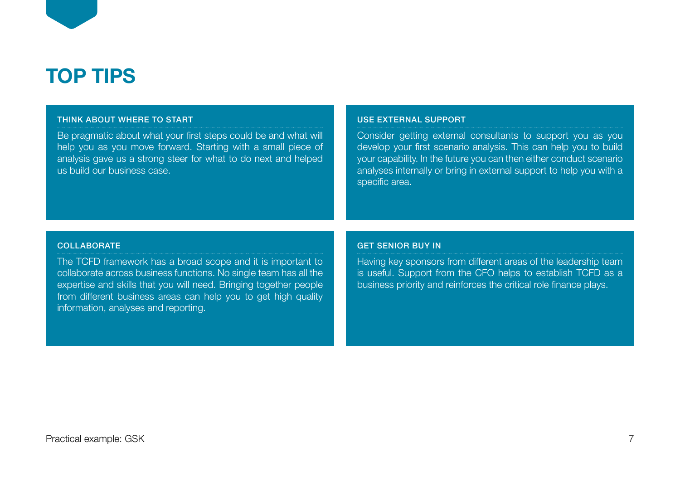

### THINK ABOUT WHERE TO START

Be pragmatic about what your first steps could be and what will help you as you move forward. Starting with a small piece of analysis gave us a strong steer for what to do next and helped us build our business case.

#### USE EXTERNAL SUPPORT

Consider getting external consultants to support you as you develop your first scenario analysis. This can help you to build your capability. In the future you can then either conduct scenario analyses internally or bring in external support to help you with a specific area.

### **COLLABORATE**

The TCFD framework has a broad scope and it is important to collaborate across business functions. No single team has all the expertise and skills that you will need. Bringing together people from different business areas can help you to get high quality information, analyses and reporting.

### GET SENIOR BUY IN

Having key sponsors from different areas of the leadership team is useful. Support from the CFO helps to establish TCFD as a business priority and reinforces the critical role finance plays.